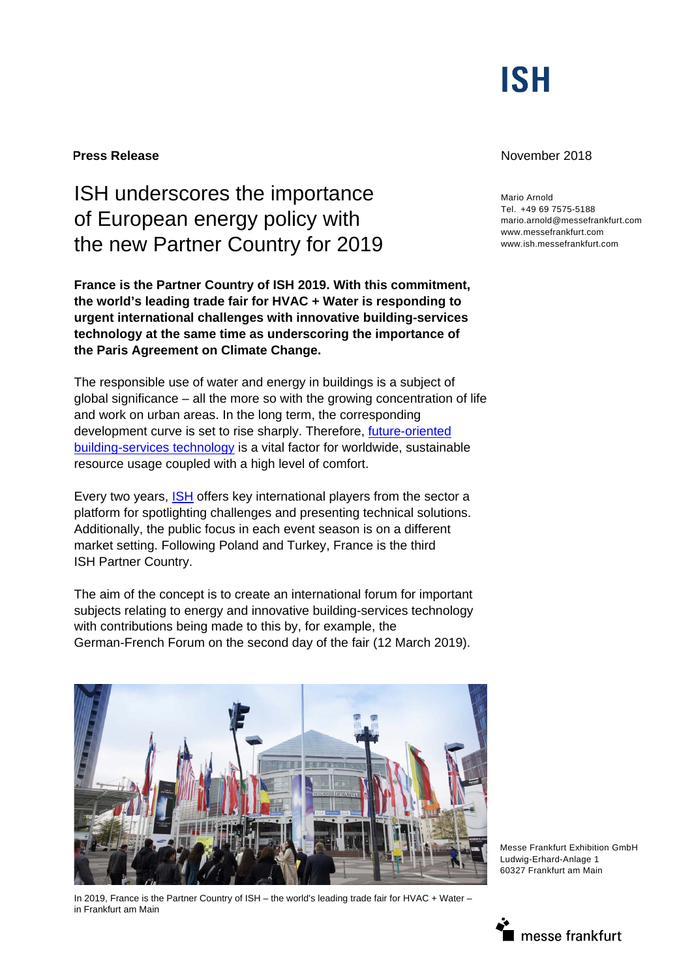

# ISH underscores the importance of European energy policy with the new Partner Country for 2019

**France is the Partner Country of ISH 2019. With this commitment, the world's leading trade fair for HVAC + Water is responding to urgent international challenges with innovative building-services technology at the same time as underscoring the importance of the Paris Agreement on Climate Change.** 

The responsible use of water and energy in buildings is a subject of global significance – all the more so with the growing concentration of life and work on urban areas. In the long term, the corresponding development curve is set to rise sharply. Therefore, future-oriented building-services technology is a vital factor for worldwide, sustainable resource usage coupled with a high level of comfort.

Every two years, **ISH** offers key international players from the sector a platform for spotlighting challenges and presenting technical solutions. Additionally, the public focus in each event season is on a different market setting. Following Poland and Turkey, France is the third ISH Partner Country.

The aim of the concept is to create an international forum for important subjects relating to energy and innovative building-services technology with contributions being made to this by, for example, the German-French Forum on the second day of the fair (12 March 2019).



In 2019, France is the Partner Country of ISH – the world's leading trade fair for HVAC + Water – in Frankfurt am Main

## **Press Release November 2018**

Mario Arnold Tel. +49 69 7575-5188 mario.arnold@messefrankfurt.com www.messefrankfurt.com www.ish.messefrankfurt.com

Messe Frankfurt Exhibition GmbH Ludwig-Erhard-Anlage 1 60327 Frankfurt am Main